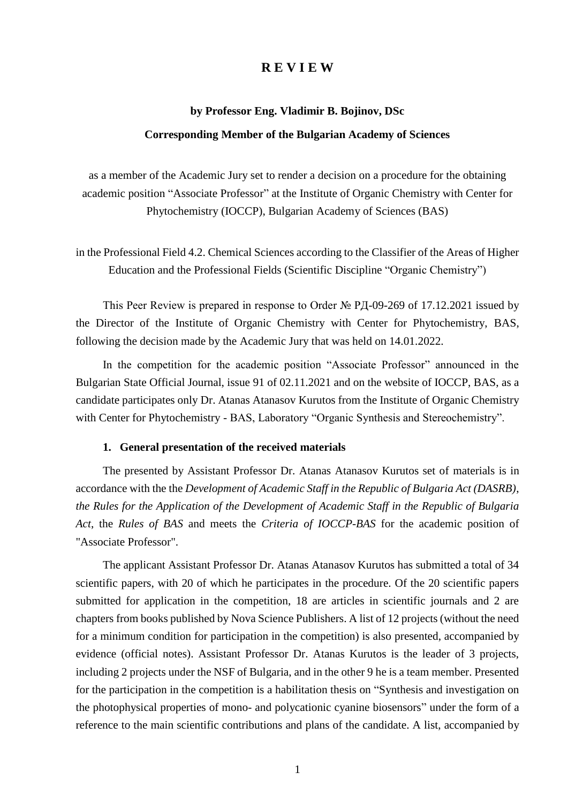## **R E V I E W**

#### **by Professor Eng. Vladimir B. Bojinov, DSc**

#### **Corresponding Member of the Bulgarian Academy of Sciences**

as a member of the Academic Jury set to render a decision on a procedure for the obtaining academic position "Associate Professor" at the Institute of Organic Chemistry with Center for Phytochemistry (IOCCP), Bulgarian Academy of Sciences (BAS)

in the Professional Field 4.2. Chemical Sciences according to the Classifier of the Areas of Higher Education and the Professional Fields (Scientific Discipline "Organic Chemistry")

This Peer Review is prepared in response to Order № РД-09-269 of 17.12.2021 issued by the Director of the Institute of Organic Chemistry with Center for Phytochemistry, BAS, following the decision made by the Academic Jury that was held on 14.01.2022.

In the competition for the academic position "Associate Professor" announced in the Bulgarian State Official Journal, issue 91 of 02.11.2021 and on the website of IOCCP, BAS, as a candidate participates only Dr. Atanas Atanasov Kurutos from the Institute of Organic Chemistry with Center for Phytochemistry - BAS, Laboratory "Organic Synthesis and Stereochemistry".

## **1. General presentation of the received materials**

The presented by Assistant Professor Dr. Atanas Atanasov Kurutos set of materials is in accordance with the the *Development of Academic Staff in the Republic of Bulgaria Act (DASRB)*, *the Rules for the Application of the Development of Academic Staff in the Republic of Bulgaria Act*, the *Rules of BAS* and meets the *Criteria of IOCCP-BAS* for the academic position of "Associate Professor".

The applicant Assistant Professor Dr. Atanas Atanasov Kurutos has submitted a total of 34 scientific papers, with 20 of which he participates in the procedure. Of the 20 scientific papers submitted for application in the competition, 18 are articles in scientific journals and 2 are chapters from books published by Nova Science Publishers. A list of 12 projects (without the need for a minimum condition for participation in the competition) is also presented, accompanied by evidence (official notes). Assistant Professor Dr. Atanas Kurutos is the leader of 3 projects, including 2 projects under the NSF of Bulgaria, and in the other 9 he is a team member. Presented for the participation in the competition is a habilitation thesis on "Synthesis and investigation on the photophysical properties of mono- and polycationic cyanine biosensors" under the form of a reference to the main scientific contributions and plans of the candidate. A list, accompanied by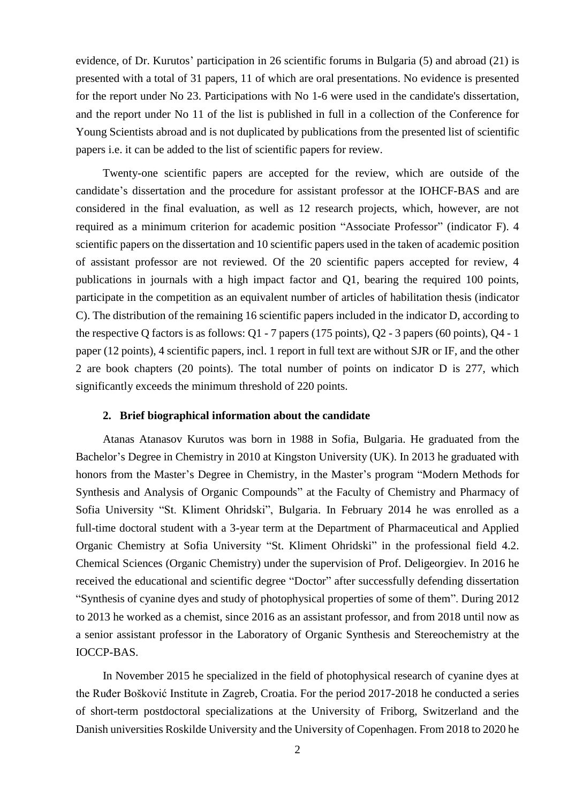evidence, of Dr. Kurutos' participation in 26 scientific forums in Bulgaria (5) and abroad (21) is presented with a total of 31 papers, 11 of which are oral presentations. No evidence is presented for the report under No 23. Participations with No 1-6 were used in the candidate's dissertation, and the report under No 11 of the list is published in full in a collection of the Conference for Young Scientists abroad and is not duplicated by publications from the presented list of scientific papers i.e. it can be added to the list of scientific papers for review.

Twenty-one scientific papers are accepted for the review, which are outside of the candidate's dissertation and the procedure for assistant professor at the IOHCF-BAS and are considered in the final evaluation, as well as 12 research projects, which, however, are not required as a minimum criterion for academic position "Associate Professor" (indicator F). 4 scientific papers on the dissertation and 10 scientific papers used in the taken of academic position of assistant professor are not reviewed. Of the 20 scientific papers accepted for review, 4 publications in journals with a high impact factor and Q1, bearing the required 100 points, participate in the competition as an equivalent number of articles of habilitation thesis (indicator C). The distribution of the remaining 16 scientific papers included in the indicator D, according to the respective Q factors is as follows: Q1 - 7 papers (175 points), Q2 - 3 papers (60 points), Q4 - 1 paper (12 points), 4 scientific papers, incl. 1 report in full text are without SJR or IF, and the other 2 are book chapters (20 points). The total number of points on indicator D is 277, which significantly exceeds the minimum threshold of 220 points.

## **2. Brief biographical information about the candidate**

Atanas Atanasov Kurutos was born in 1988 in Sofia, Bulgaria. He graduated from the Bachelor's Degree in Chemistry in 2010 at Kingston University (UK). In 2013 he graduated with honors from the Master's Degree in Chemistry, in the Master's program "Modern Methods for Synthesis and Analysis of Organic Compounds" at the Faculty of Chemistry and Pharmacy of Sofia University "St. Kliment Ohridski", Bulgaria. In February 2014 he was enrolled as a full-time doctoral student with a 3-year term at the Department of Pharmaceutical and Applied Organic Chemistry at Sofia University "St. Kliment Ohridski" in the professional field 4.2. Chemical Sciences (Organic Chemistry) under the supervision of Prof. Deligeorgiev. In 2016 he received the educational and scientific degree "Doctor" after successfully defending dissertation "Synthesis of cyanine dyes and study of photophysical properties of some of them". During 2012 to 2013 he worked as a chemist, since 2016 as an assistant professor, and from 2018 until now as a senior assistant professor in the Laboratory of Organic Synthesis and Stereochemistry at the IOCCP-BAS.

In November 2015 he specialized in the field of photophysical research of cyanine dyes at the Ruđer Bošković Institute in Zagreb, Croatia. For the period 2017-2018 he conducted a series of short-term postdoctoral specializations at the University of Friborg, Switzerland and the Danish universities Roskilde University and the University of Copenhagen. From 2018 to 2020 he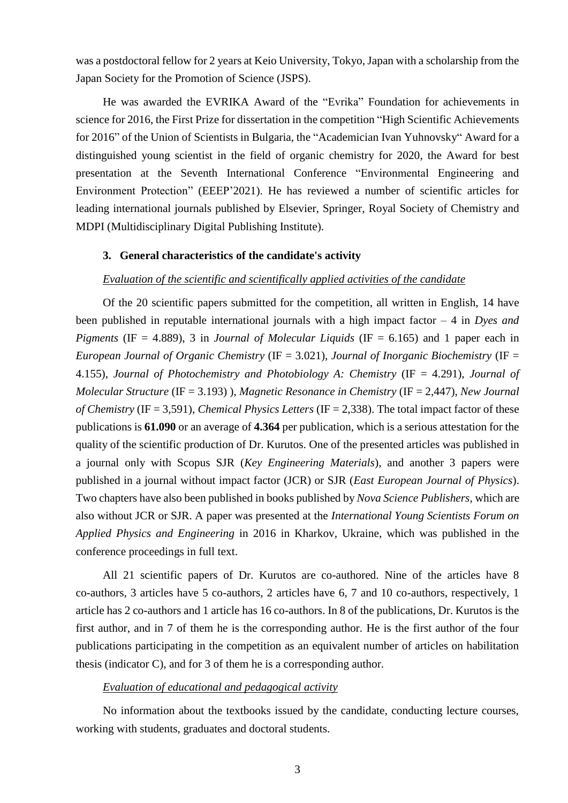was a postdoctoral fellow for 2 years at Keio University, Tokyo, Japan with a scholarship from the Japan Society for the Promotion of Science (JSPS).

He was awarded the EVRIKA Award of the "Evrika" Foundation for achievements in science for 2016, the First Prize for dissertation in the competition "High Scientific Achievements for 2016" of the Union of Scientists in Bulgaria, the "Academician Ivan Yuhnovsky" Award for a distinguished young scientist in the field of organic chemistry for 2020, the Award for best presentation at the Seventh International Conference "Environmental Engineering and Environment Protection" (EEEP'2021). He has reviewed a number of scientific articles for leading international journals published by Elsevier, Springer, Royal Society of Chemistry and MDPI (Multidisciplinary Digital Publishing Institute).

## **3. General characteristics of the candidate's activity**

## *Evaluation of the scientific and scientifically applied activities of the candidate*

Of the 20 scientific papers submitted for thе competition, all written in English, 14 have been published in reputable international journals with a high impact factor – 4 in *Dyes and Pigments* (IF = 4.889), 3 in *Journal of Molecular Liquids* (IF = 6.165) and 1 paper each in *European Journal of Organic Chemistry* (IF = 3.021), *Journal of Inorganic Biochemistry* (IF = 4.155), *Journal of Photochemistry and Photobiology A: Chemistry* (IF = 4.291), *Journal of Molecular Structure* (IF = 3.193) ), *Magnetic Resonance in Chemistry* (IF = 2,447), *New Journal of Chemistry* (IF = 3,591), *Chemical Physics Letters* (IF = 2,338). The total impact factor of these publications is **61.090** or an average of **4.364** per publication, which is a serious attestation for the quality of the scientific production of Dr. Kurutos. One of the presented articles was published in a journal only with Scopus SJR (*Key Engineering Materials*), and another 3 papers were published in a journal without impact factor (JCR) or SJR (*East European Journal of Physics*). Two chapters have also been published in books published by *Nova Science Publishers*, which are also without JCR or SJR. A paper was presented at the *International Young Scientists Forum on Applied Physics and Engineering* in 2016 in Kharkov, Ukraine, which was published in the conference proceedings in full text.

All 21 scientific papers of Dr. Kurutos are co-authored. Nine of the articles have 8 co-authors, 3 articles have 5 co-authors, 2 articles have 6, 7 and 10 co-authors, respectively, 1 article has 2 co-authors and 1 article has 16 co-authors. In 8 of the publications, Dr. Kurutos is the first author, and in 7 of them he is the corresponding author. He is the first author of the four publications participating in the competition as an equivalent number of articles on habilitation thesis (indicator C), and for 3 of them he is a corresponding author.

## *Evaluation of educational and pedagogical activity*

No information about the textbooks issued by the candidate, conducting lecture courses, working with students, graduates and doctoral students.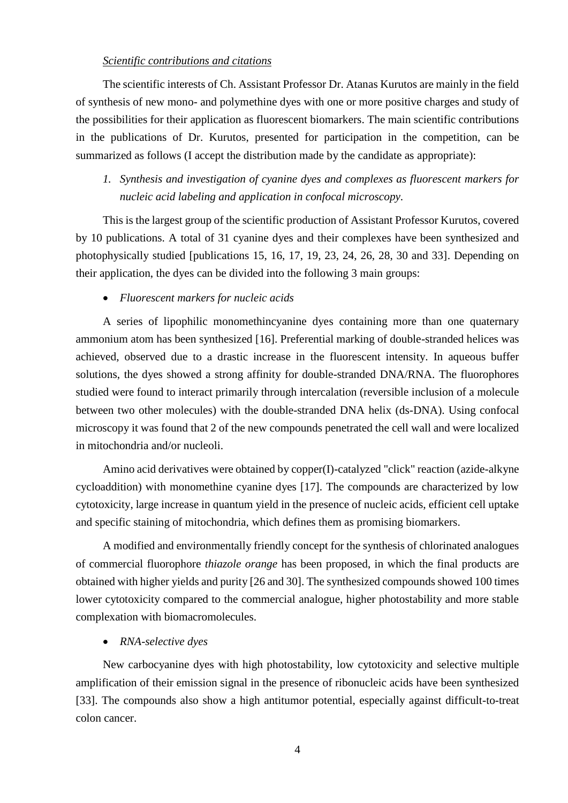## *Scientific contributions and citations*

The scientific interests of Ch. Assistant Professor Dr. Atanas Kurutos are mainly in the field of synthesis of new mono- and polymethine dyes with one or more positive charges and study of the possibilities for their application as fluorescent biomarkers. The main scientific contributions in the publications of Dr. Kurutos, presented for participation in the competition, can be summarized as follows (I accept the distribution made by the candidate as appropriate):

# *1. Synthesis and investigation of cyanine dyes and complexes as fluorescent markers for nucleic acid labeling and application in confocal microscopy.*

This is the largest group of the scientific production of Assistant Professor Kurutos, covered by 10 publications. A total of 31 cyanine dyes and their complexes have been synthesized and photophysically studied [publications 15, 16, 17, 19, 23, 24, 26, 28, 30 and 33]. Depending on their application, the dyes can be divided into the following 3 main groups:

## *Fluorescent markers for nucleic acids*

A series of lipophilic monomethincyanine dyes containing more than one quaternary ammonium atom has been synthesized [16]. Preferential marking of double-stranded helices was achieved, observed due to a drastic increase in the fluorescent intensity. In aqueous buffer solutions, the dyes showed a strong affinity for double-stranded DNA/RNA. The fluorophores studied were found to interact primarily through intercalation (reversible inclusion of a molecule between two other molecules) with the double-stranded DNA helix (ds-DNA). Using confocal microscopy it was found that 2 of the new compounds penetrated the cell wall and were localized in mitochondria and/or nucleoli.

Amino acid derivatives were obtained by copper(I)-catalyzed "click" reaction (azide-alkyne cycloaddition) with monomethine cyanine dyes [17]. The compounds are characterized by low cytotoxicity, large increase in quantum yield in the presence of nucleic acids, efficient cell uptake and specific staining of mitochondria, which defines them as promising biomarkers.

A modified and environmentally friendly concept for the synthesis of chlorinated analogues of commercial fluorophore *thiazole orange* has been proposed, in which the final products are obtained with higher yields and purity [26 and 30]. The synthesized compounds showed 100 times lower cytotoxicity compared to the commercial analogue, higher photostability and more stable complexation with biomacromolecules.

## *RNA-selective dyes*

New carbocyanine dyes with high photostability, low cytotoxicity and selective multiple amplification of their emission signal in the presence of ribonucleic acids have been synthesized [33]. The compounds also show a high antitumor potential, especially against difficult-to-treat colon cancer.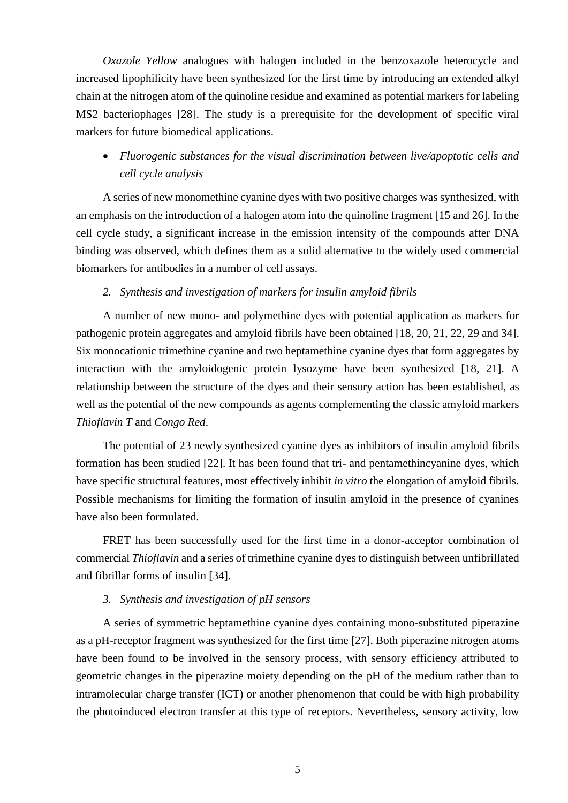*Oxazole Yellow* analogues with halogen included in the benzoxazole heterocycle and increased lipophilicity have been synthesized for the first time by introducing an extended alkyl chain at the nitrogen atom of the quinoline residue and examined as potential markers for labeling MS2 bacteriophages [28]. The study is a prerequisite for the development of specific viral markers for future biomedical applications.

 *Fluorogenic substances for the visual discrimination between live/apoptotic cells and cell cycle analysis*

A series of new monomethine cyanine dyes with two positive charges was synthesized, with an emphasis on the introduction of a halogen atom into the quinoline fragment [15 and 26]. In the cell cycle study, a significant increase in the emission intensity of the compounds after DNA binding was observed, which defines them as a solid alternative to the widely used commercial biomarkers for antibodies in a number of cell assays.

## *2. Synthesis and investigation of markers for insulin amyloid fibrils*

A number of new mono- and polymethine dyes with potential application as markers for pathogenic protein aggregates and amyloid fibrils have been obtained [18, 20, 21, 22, 29 and 34]. Six monocationic trimethine cyanine and two heptamethine cyanine dyes that form aggregates by interaction with the amyloidogenic protein lysozyme have been synthesized [18, 21]. A relationship between the structure of the dyes and their sensory action has been established, as well as the potential of the new compounds as agents complementing the classic amyloid markers *Thioflavin T* and *Congo Red*.

The potential of 23 newly synthesized cyanine dyes as inhibitors of insulin amyloid fibrils formation has been studied [22]. It has been found that tri- and pentamethincyanine dyes, which have specific structural features, most effectively inhibit *in vitro* the elongation of amyloid fibrils. Possible mechanisms for limiting the formation of insulin amyloid in the presence of cyanines have also been formulated.

FRET has been successfully used for the first time in a donor-acceptor combination of commercial *Thioflavin* and a series of trimethine cyanine dyes to distinguish between unfibrillated and fibrillar forms of insulin [34].

## *3. Synthesis and investigation of pH sensors*

A series of symmetric heptamethine cyanine dyes containing mono-substituted piperazine as a pH-receptor fragment was synthesized for the first time [27]. Both piperazine nitrogen atoms have been found to be involved in the sensory process, with sensory efficiency attributed to geometric changes in the piperazine moiety depending on the pH of the medium rather than to intramolecular charge transfer (ICT) or another phenomenon that could be with high probability the photoinduced electron transfer at this type of receptors. Nevertheless, sensory activity, low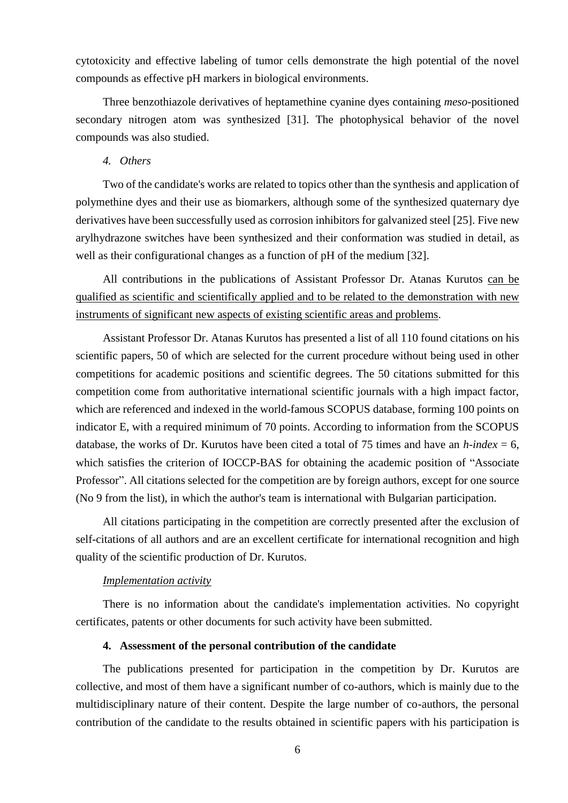cytotoxicity and effective labeling of tumor cells demonstrate the high potential of the novel compounds as effective pH markers in biological environments.

Three benzothiazole derivatives of heptamethine cyanine dyes containing *meso*-positioned secondary nitrogen atom was synthesized [31]. The photophysical behavior of the novel compounds was also studied.

## *4. Others*

Two of the candidate's works are related to topics other than the synthesis and application of polymethine dyes and their use as biomarkers, although some of the synthesized quaternary dye derivatives have been successfully used as corrosion inhibitors for galvanized steel [25]. Five new arylhydrazone switches have been synthesized and their conformation was studied in detail, as well as their configurational changes as a function of pH of the medium [32].

All contributions in the publications of Assistant Professor Dr. Atanas Kurutos can be qualified as scientific and scientifically applied and to be related to the demonstration with new instruments of significant new aspects of existing scientific areas and problems.

Assistant Professor Dr. Atanas Kurutos has presented a list of all 110 found citations on his scientific papers, 50 of which are selected for the current procedure without being used in other competitions for academic positions and scientific degrees. The 50 citations submitted for this competition come from authoritative international scientific journals with a high impact factor, which are referenced and indexed in the world-famous SCOPUS database, forming 100 points on indicator E, with a required minimum of 70 points. According to information from the SCOPUS database, the works of Dr. Kurutos have been cited a total of 75 times and have an *h*-index = 6, which satisfies the criterion of IOCCP-BAS for obtaining the academic position of "Associate Professor". All citations selected for the competition are by foreign authors, except for one source (No 9 from the list), in which the author's team is international with Bulgarian participation.

All citations participating in the competition are correctly presented after the exclusion of self-citations of all authors and are an excellent certificate for international recognition and high quality of the scientific production of Dr. Kurutos.

#### *Implementation activity*

There is no information about the candidate's implementation activities. No copyright certificates, patents or other documents for such activity have been submitted.

## **4. Assessment of the personal contribution of the candidate**

The publications presented for participation in the competition by Dr. Kurutos are collective, and most of them have a significant number of co-authors, which is mainly due to the multidisciplinary nature of their content. Despite the large number of co-authors, the personal contribution of the candidate to the results obtained in scientific papers with his participation is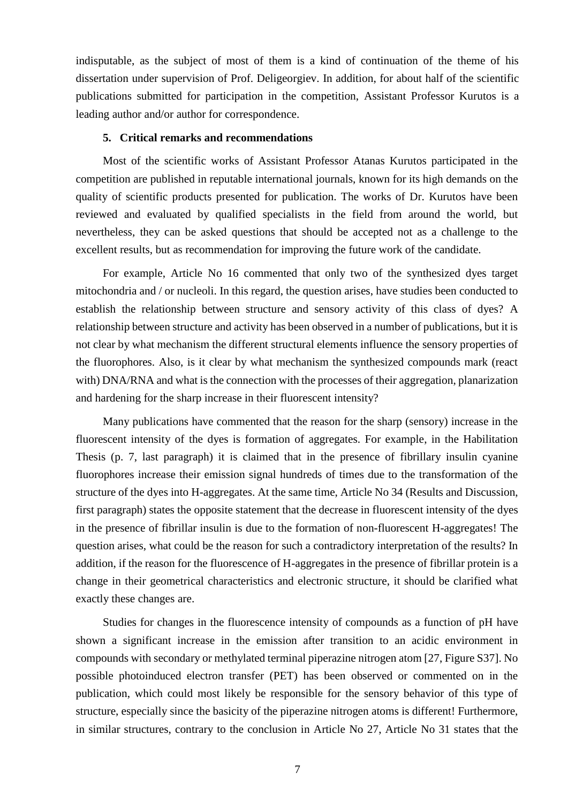indisputable, as the subject of most of them is a kind of continuation of the theme of his dissertation under supervision of Prof. Deligeorgiev. In addition, for about half of the scientific publications submitted for participation in the competition, Assistant Professor Kurutos is a leading author and/or author for correspondence.

## **5. Critical remarks and recommendations**

Most of the scientific works of Assistant Professor Atanas Kurutos participated in the competition are published in reputable international journals, known for its high demands on the quality of scientific products presented for publication. The works of Dr. Kurutos have been reviewed and evaluated by qualified specialists in the field from around the world, but nevertheless, they can be asked questions that should be accepted not as a challenge to the excellent results, but as recommendation for improving the future work of the candidate.

For example, Article No 16 commented that only two of the synthesized dyes target mitochondria and / or nucleoli. In this regard, the question arises, have studies been conducted to establish the relationship between structure and sensory activity of this class of dyes? A relationship between structure and activity has been observed in a number of publications, but it is not clear by what mechanism the different structural elements influence the sensory properties of the fluorophores. Also, is it clear by what mechanism the synthesized compounds mark (react with) DNA/RNA and what is the connection with the processes of their aggregation, planarization and hardening for the sharp increase in their fluorescent intensity?

Many publications have commented that the reason for the sharp (sensory) increase in the fluorescent intensity of the dyes is formation of aggregates. For example, in the Habilitation Thesis (p. 7, last paragraph) it is claimed that in the presence of fibrillary insulin cyanine fluorophores increase their emission signal hundreds of times due to the transformation of the structure of the dyes into H-aggregates. At the same time, Article No 34 (Results and Discussion, first paragraph) states the opposite statement that the decrease in fluorescent intensity of the dyes in the presence of fibrillar insulin is due to the formation of non-fluorescent H-aggregates! The question arises, what could be the reason for such a contradictory interpretation of the results? In addition, if the reason for the fluorescence of H-aggregates in the presence of fibrillar protein is a change in their geometrical characteristics and electronic structure, it should be clarified what exactly these changes are.

Studies for changes in the fluorescence intensity of compounds as a function of pH have shown a significant increase in the emission after transition to an acidic environment in compounds with secondary or methylated terminal piperazine nitrogen atom [27, Figure S37]. No possible photoinduced electron transfer (PET) has been observed or commented on in the publication, which could most likely be responsible for the sensory behavior of this type of structure, especially since the basicity of the piperazine nitrogen atoms is different! Furthermore, in similar structures, contrary to the conclusion in Article No 27, Article No 31 states that the